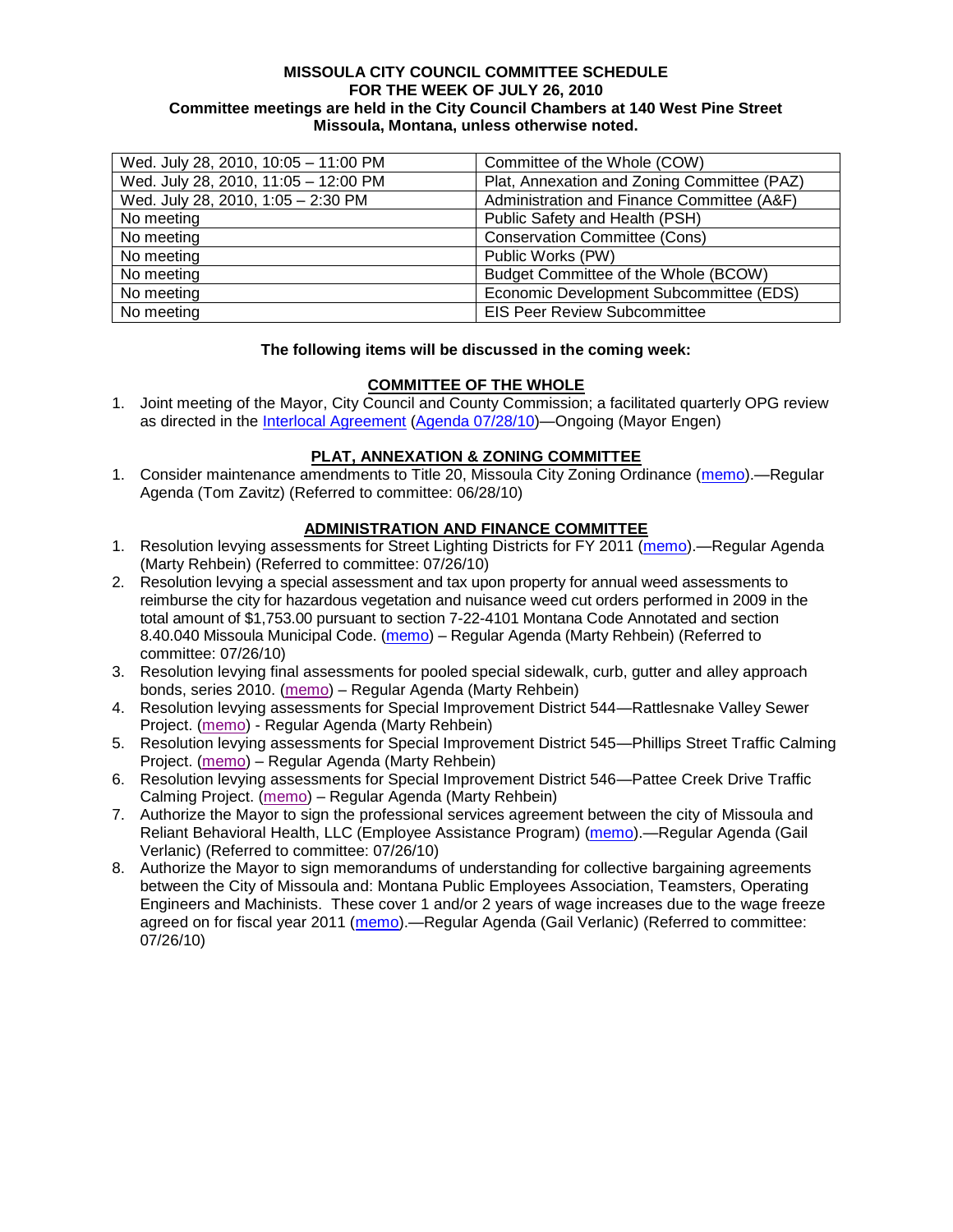#### **MISSOULA CITY COUNCIL COMMITTEE SCHEDULE FOR THE WEEK OF JULY 26, 2010 Committee meetings are held in the City Council Chambers at 140 West Pine Street Missoula, Montana, unless otherwise noted.**

| Wed. July 28, 2010, 10:05 - 11:00 PM | Committee of the Whole (COW)                |
|--------------------------------------|---------------------------------------------|
| Wed. July 28, 2010, 11:05 - 12:00 PM | Plat, Annexation and Zoning Committee (PAZ) |
| Wed. July 28, 2010, 1:05 - 2:30 PM   | Administration and Finance Committee (A&F)  |
| No meeting                           | Public Safety and Health (PSH)              |
| No meeting                           | <b>Conservation Committee (Cons)</b>        |
| No meeting                           | Public Works (PW)                           |
| No meeting                           | Budget Committee of the Whole (BCOW)        |
| No meeting                           | Economic Development Subcommittee (EDS)     |
| No meeting                           | <b>EIS Peer Review Subcommittee</b>         |

#### **The following items will be discussed in the coming week:**

## **COMMITTEE OF THE WHOLE**

1. Joint meeting of the Mayor, City Council and County Commission; a facilitated quarterly OPG review as directed in the [Interlocal Agreement](ftp://ftp.ci.missoula.mt.us/Documents/Mayor/OPG/Adopted-ILA-2005.pdf) [\(Agenda 07/28/10\)](http://www.ci.missoula.mt.us/DocumentView.aspx?DID=4320)—Ongoing (Mayor Engen)

## **PLAT, ANNEXATION & ZONING COMMITTEE**

1. Consider maintenance amendments to Title 20, Missoula City Zoning Ordinance [\(memo\)](http://www.ci.missoula.mt.us/DocumentView.aspx?DID=4168).—Regular Agenda (Tom Zavitz) (Referred to committee: 06/28/10)

## **ADMINISTRATION AND FINANCE COMMITTEE**

- 1. Resolution levying assessments for Street Lighting Districts for FY 2011 [\(memo\)](http://www.ci.missoula.mt.us/DocumentView.aspx?DID=4292) Regular Agenda (Marty Rehbein) (Referred to committee: 07/26/10)
- 2. Resolution levying a special assessment and tax upon property for annual weed assessments to reimburse the city for hazardous vegetation and nuisance weed cut orders performed in 2009 in the total amount of \$1,753.00 pursuant to section 7-22-4101 Montana Code Annotated and section 8.40.040 Missoula Municipal Code. [\(memo\)](http://www.ci.missoula.mt.us/DocumentView.aspx?DID=4293) – Regular Agenda (Marty Rehbein) (Referred to committee: 07/26/10)
- 3. Resolution levying final assessments for pooled special sidewalk, curb, gutter and alley approach bonds, series 2010. [\(memo\)](http://www.ci.missoula.mt.us/DocumentView.aspx?DID=4328) – Regular Agenda (Marty Rehbein)
- 4. Resolution levying assessments for Special Improvement District 544—Rattlesnake Valley Sewer Project. [\(memo\)](http://www.ci.missoula.mt.us/DocumentView.aspx?DID=4329) - Regular Agenda (Marty Rehbein)
- 5. Resolution levying assessments for Special Improvement District 545—Phillips Street Traffic Calming Project. [\(memo\)](http://www.ci.missoula.mt.us/DocumentView.aspx?DID=4316) – Regular Agenda (Marty Rehbein)
- 6. Resolution levying assessments for Special Improvement District 546—Pattee Creek Drive Traffic Calming Project. [\(memo\)](http://www.ci.missoula.mt.us/DocumentView.aspx?DID=4330) – Regular Agenda (Marty Rehbein)
- 7. Authorize the Mayor to sign the professional services agreement between the city of Missoula and Reliant Behavioral Health, LLC (Employee Assistance Program) [\(memo\)](http://www.ci.missoula.mt.us/DocumentView.aspx?DID=4318).—Regular Agenda (Gail Verlanic) (Referred to committee: 07/26/10)
- 8. Authorize the Mayor to sign memorandums of understanding for collective bargaining agreements between the City of Missoula and: Montana Public Employees Association, Teamsters, Operating Engineers and Machinists. These cover 1 and/or 2 years of wage increases due to the wage freeze agreed on for fiscal year 2011 [\(memo\)](http://www.ci.missoula.mt.us/DocumentView.aspx?DID=4319).—Regular Agenda (Gail Verlanic) (Referred to committee: 07/26/10)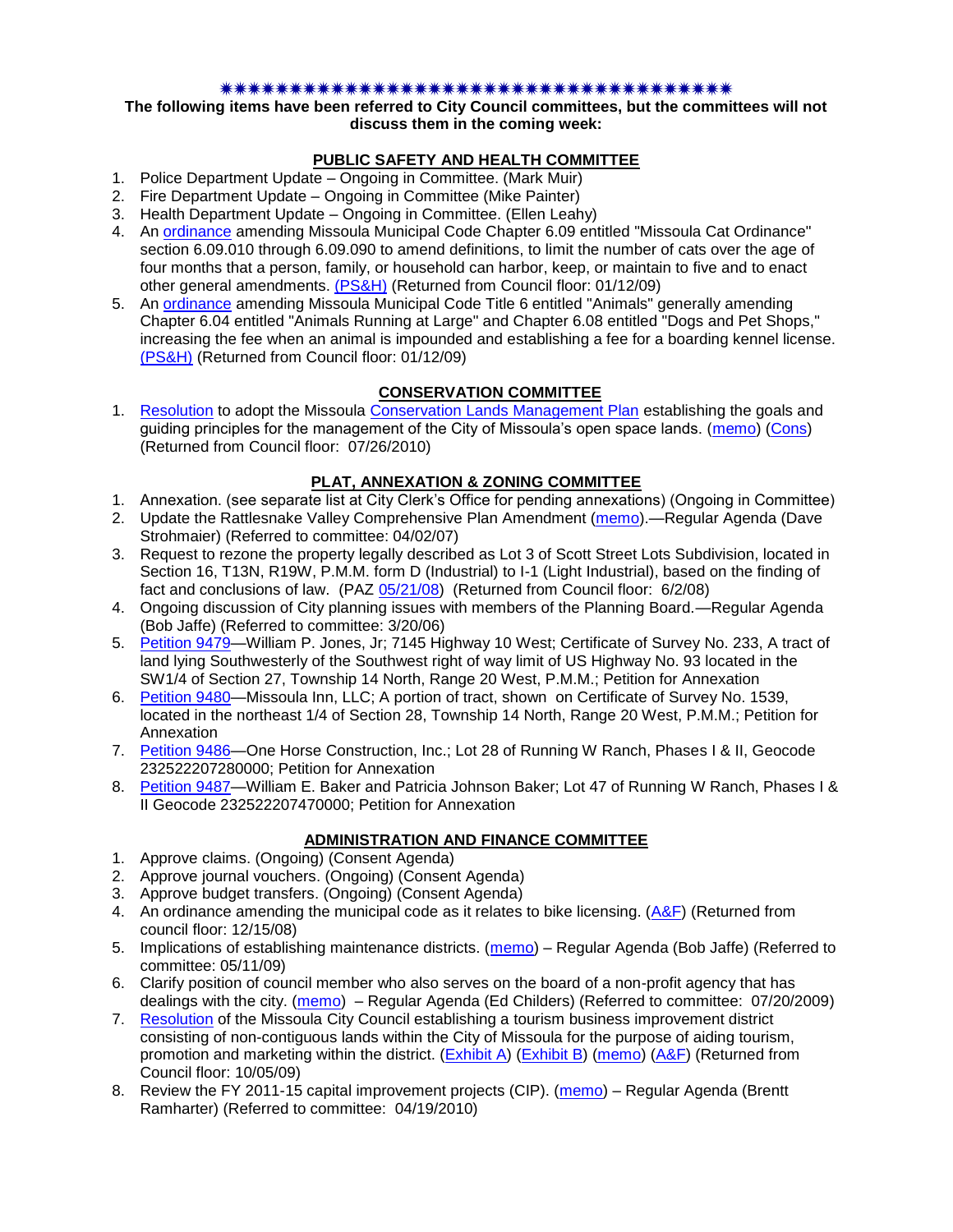#### \*\*\*\*\*\*\*\*\*\*\*\*\*\*\*\*\*\*\*\*\*\*\*\*\*\*\*\*\*\*\*\*

**The following items have been referred to City Council committees, but the committees will not discuss them in the coming week:**

# **PUBLIC SAFETY AND HEALTH COMMITTEE**

- 1. Police Department Update Ongoing in Committee. (Mark Muir)
- 2. Fire Department Update Ongoing in Committee (Mike Painter)
- 3. Health Department Update Ongoing in Committee. (Ellen Leahy)
- 4. An [ordinance](ftp://ftp.ci.missoula.mt.us/Packets/Council/2008/2008-12-15/2008CatOrdinanceAmendment%5B1%5D.pdf) amending Missoula Municipal Code Chapter 6.09 entitled "Missoula Cat Ordinance" section 6.09.010 through 6.09.090 to amend definitions, to limit the number of cats over the age of four months that a person, family, or household can harbor, keep, or maintain to five and to enact other general amendments. [\(PS&H\)](ftp://ftp.ci.missoula.mt.us/Packets/Council/2008/2008-12-15/081210psh.pdf) (Returned from Council floor: 01/12/09)
- 5. An [ordinance](ftp://ftp.ci.missoula.mt.us/Packets/Council/2008/2008-12-15/DogOrdinance--PSHrevisions.pdf) amending Missoula Municipal Code Title 6 entitled "Animals" generally amending Chapter 6.04 entitled "Animals Running at Large" and Chapter 6.08 entitled "Dogs and Pet Shops," increasing the fee when an animal is impounded and establishing a fee for a boarding kennel license. [\(PS&H\)](ftp://ftp.ci.missoula.mt.us/Packets/Council/2008/2008-12-15/081210psh.pdf) (Returned from Council floor: 01/12/09)

## **CONSERVATION COMMITTEE**

1. [Resolution](http://www.ci.missoula.mt.us/DocumentView.aspx?DID=4197) to adopt the Missoula [Conservation Lands Management Plan](http://www.ci.missoula.mt.us/DocumentView.aspx?DID=4174) establishing the goals and guiding principles for the management of the City of Missoula's open space lands. [\(memo\)](http://www.ci.missoula.mt.us/DocumentView.aspx?DID=4166) [\(Cons\)](http://www.ci.missoula.mt.us/Archive.aspx?ADID=2681) (Returned from Council floor: 07/26/2010)

# **PLAT, ANNEXATION & ZONING COMMITTEE**

- 1. Annexation. (see separate list at City Clerk's Office for pending annexations) (Ongoing in Committee)
- 2. Update the Rattlesnake Valley Comprehensive Plan Amendment [\(memo\)](ftp://ftp.ci.missoula.mt.us/Packets/Council/2007/2007-04-02/Referrals/Rattlesnake_Plan_Update_referral.pdf).—Regular Agenda (Dave Strohmaier) (Referred to committee: 04/02/07)
- 3. Request to rezone the property legally described as Lot 3 of Scott Street Lots Subdivision, located in Section 16, T13N, R19W, P.M.M. form D (Industrial) to I-1 (Light Industrial), based on the finding of fact and conclusions of law. (PAZ [05/21/08\)](ftp://ftp.ci.missoula.mt.us/Packets/Council/2008/2008-06-02/080521paz.pdf) (Returned from Council floor: 6/2/08)
- 4. Ongoing discussion of City planning issues with members of the Planning Board.—Regular Agenda (Bob Jaffe) (Referred to committee: 3/20/06)
- 5. [Petition 9479—](http://www.ci.missoula.mt.us/DocumentView.aspx?DID=4282)William P. Jones, Jr; 7145 Highway 10 West; Certificate of Survey No. 233, A tract of land lying Southwesterly of the Southwest right of way limit of US Highway No. 93 located in the SW1/4 of Section 27, Township 14 North, Range 20 West, P.M.M.; Petition for Annexation
- 6. [Petition 9480—](http://www.ci.missoula.mt.us/DocumentView.aspx?DID=4283)Missoula Inn, LLC; A portion of tract, shown on Certificate of Survey No. 1539, located in the northeast 1/4 of Section 28, Township 14 North, Range 20 West, P.M.M.; Petition for Annexation
- 7. [Petition 9486—](http://www.ci.missoula.mt.us/DocumentView.aspx?DID=4284)One Horse Construction, Inc.; Lot 28 of Running W Ranch, Phases I & II, Geocode 232522207280000; Petition for Annexation
- 8. Petition 9487-William E. Baker and Patricia Johnson Baker; Lot 47 of Running W Ranch, Phases I & II Geocode 232522207470000; Petition for Annexation

## **ADMINISTRATION AND FINANCE COMMITTEE**

- 1. Approve claims. (Ongoing) (Consent Agenda)
- 2. Approve journal vouchers. (Ongoing) (Consent Agenda)
- 3. Approve budget transfers. (Ongoing) (Consent Agenda)
- 4. An ordinance amending the municipal code as it relates to bike licensing.  $(A\&F)$  (Returned from council floor: 12/15/08)
- 5. Implications of establishing maintenance districts. [\(memo\)](ftp://ftp.ci.missoula.mt.us/Packets/Council/2009/2009-05-11/Referrals/MaintenanceDistricts.pdf) Regular Agenda (Bob Jaffe) (Referred to committee: 05/11/09)
- 6. Clarify position of council member who also serves on the board of a non-profit agency that has dealings with the city. [\(memo\)](http://www.ci.missoula.mt.us/DocumentView.aspx?DID=1840) – Regular Agenda (Ed Childers) (Referred to committee: 07/20/2009)
- 7. [Resolution](http://www.ci.missoula.mt.us/DocumentView.aspx?DID=2373) of the Missoula City Council establishing a tourism business improvement district consisting of non-contiguous lands within the City of Missoula for the purpose of aiding tourism, promotion and marketing within the district. [\(Exhibit A\)](http://www.ci.missoula.mt.us/DocumentView.aspx?DID=2090) [\(Exhibit B\)](http://www.ci.missoula.mt.us/DocumentView.aspx?DID=2374) [\(memo\)](http://www.ci.missoula.mt.us/DocumentView.aspx?DID=2097) [\(A&F\)](http://www.ci.missoula.mt.us/Archive.aspx?ADID=1172) (Returned from Council floor: 10/05/09)
- 8. Review the FY 2011-15 capital improvement projects (CIP). [\(memo\)](http://www.ci.missoula.mt.us/DocumentView.aspx?DID=3522) Regular Agenda (Brentt Ramharter) (Referred to committee: 04/19/2010)